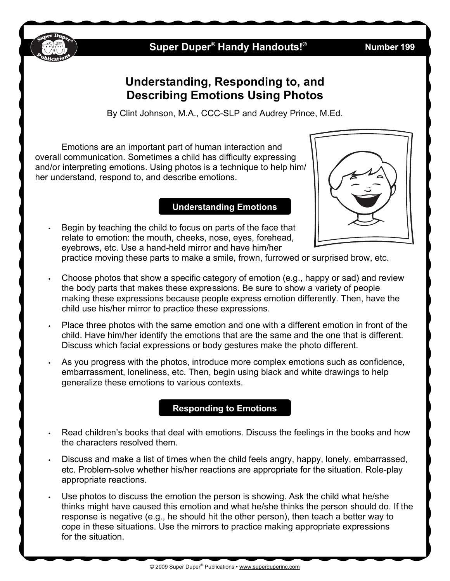

## **Super Duper® Handy Handouts!**

## **Understanding, Responding to, and Describing Emotions Using Photos**

By Clint Johnson, M.A., CCC-SLP and Audrey Prince, M.Ed.

Emotions are an important part of human interaction and overall communication. Sometimes a child has difficulty expressing and/or interpreting emotions. Using photos is a technique to help him/ her understand, respond to, and describe emotions.

### **Understanding Emotions**

• Begin by teaching the child to focus on parts of the face that relate to emotion: the mouth, cheeks, nose, eyes, forehead, eyebrows, etc. Use a hand-held mirror and have him/her



practice moving these parts to make a smile, frown, furrowed or surprised brow, etc.

- Choose photos that show a specific category of emotion (e.g., happy or sad) and review the body parts that makes these expressions. Be sure to show a variety of people making these expressions because people express emotion differently. Then, have the child use his/her mirror to practice these expressions.
- Place three photos with the same emotion and one with a different emotion in front of the child. Have him/her identify the emotions that are the same and the one that is different. Discuss which facial expressions or body gestures make the photo different.
- As you progress with the photos, introduce more complex emotions such as confidence, embarrassment, loneliness, etc. Then, begin using black and white drawings to help generalize these emotions to various contexts.

### **Responding to Emotions**

- Read children's books that deal with emotions. Discuss the feelings in the books and how the characters resolved them.
- Discuss and make a list of times when the child feels angry, happy, lonely, embarrassed, etc. Problem-solve whether his/her reactions are appropriate for the situation. Role-play appropriate reactions.
- Use photos to discuss the emotion the person is showing. Ask the child what he/she thinks might have caused this emotion and what he/she thinks the person should do. If the response is negative (e.g., he should hit the other person), then teach a better way to cope in these situations. Use the mirrors to practice making appropriate expressions for the situation.

**® Number 199**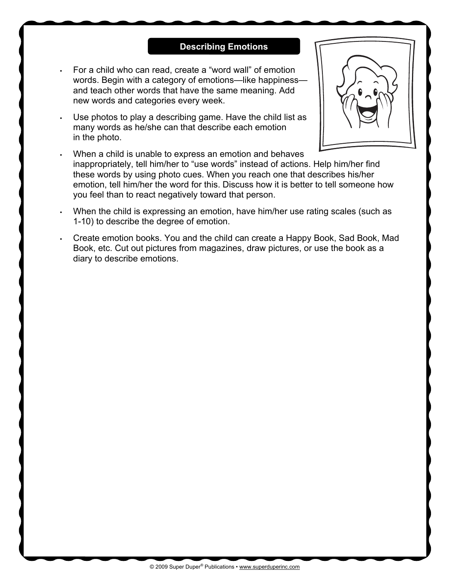#### **Describing Emotions**

- For a child who can read, create a "word wall" of emotion words. Begin with a category of emotions—like happiness and teach other words that have the same meaning. Add new words and categories every week.
- Use photos to play a describing game. Have the child list as many words as he/she can that describe each emotion in the photo.



- When a child is unable to express an emotion and behaves inappropriately, tell him/her to "use words" instead of actions. Help him/her find these words by using photo cues. When you reach one that describes his/her emotion, tell him/her the word for this. Discuss how it is better to tell someone how you feel than to react negatively toward that person.
- When the child is expressing an emotion, have him/her use rating scales (such as 1-10) to describe the degree of emotion.
- Create emotion books. You and the child can create a Happy Book, Sad Book, Mad Book, etc. Cut out pictures from magazines, draw pictures, or use the book as a diary to describe emotions.